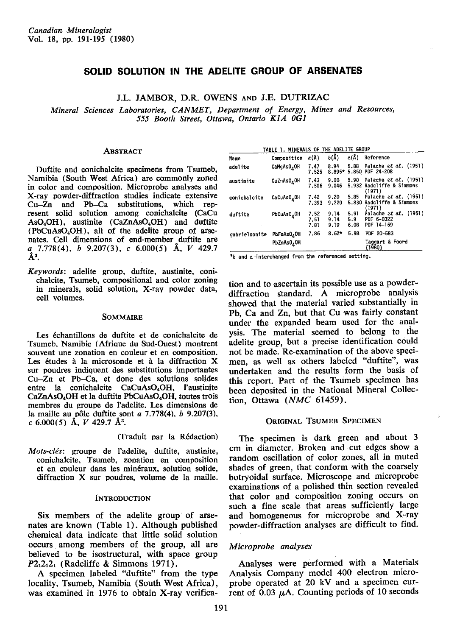# SOLID SOLUTION IN THE ADELITE GROUP OF ARSENATES

J.L. JAMBOR, D.R. OWENS AND J.E. DUTRIZAC

Mineral Sciences Laboratories, CANMET, Depaftment of Energy, Mines and Resources, 555 Booth Street, Ottawa, Ontario K1A 0G1

### **ABSTRACT**

Duftite and conichalcite specimens from Tsumeb, Namibia (South West Africa) are commonly zoned in color and composition. Microprobe analyses and X-ray powder-diffraction studies indicate extensive Cu-Zn and Pb-Ca substitutions, which represent solid solution among conichalcite (CaCu  $AsO<sub>4</sub>OH$ ), austinite (CaZnAsO<sub>4</sub>OH) and duftite (PbCuAsO<sub>4</sub>OH), all of the adelite group of arsenates. Cell dimensions of end-member duftite are a  $7.778(4)$ , b  $9.207(3)$ , c  $6.000(5)$  Å, V 429.7  $\mathring{A}^3$ .

Keywords: adelite group, duftite, austinite, conichalcite, Tsumeb, compositional and color zoning in minerals, solid solution, X-ray powder data, cell volumes.

#### SOMMAIRE

Les échantillons de duftite et de conichalcite de Tsumeb, Namibie (Afrique du Sud-Ouest) montrent souvent une zonation en couleur et en composition. Les études à la microsonde et à la diffraction  $X$ sur poudres indiquent des substitutions importantes Cu-Zn et Pb-Ca, et donc des solutions solides entre la conichalcite CaCuAsO<sub>4</sub>OH, l'austinite CaZnAsO<sub>4</sub>OH et la duftite PbCuAsO<sub>4</sub>OH, toutes trois membres du groupe de I'adelite. Les dimensions de la maille au pôle duftite sont  $a$  7.778(4),  $b$  9.207(3), c 6.000(5) Å,  $V$  429.7 Å<sup>3</sup>.

(Iraduit par la R6daction)

Mots-clés: groupe de l'adelite, duftite, austinite, conichalcite, Tsumeb, zonation en composition et en couleur dans les minéraux, solution solide, diffraction X sur poudres, volume de la maille.

#### **INTRODUCTION**

Six members of the adelite group of arsenates are known (Table 1). Although published chemical data indicate that little solid solution occurs among members of the group, all are believed to be isostructural, with space group  $P2_12_12_1$  (Radcliffe & Simmons 1971).

A specimen labeled "duftite" from the type locality, Tsumeb, Namibia (South West Africa), was examined in 1976 to obtain X-rav verifica-

|               | TABLE 1. MINERALS OF THE ADELITE GROUP |                      |                      |                     |                                                                |
|---------------|----------------------------------------|----------------------|----------------------|---------------------|----------------------------------------------------------------|
| Name          | Composition                            | a(R)                 | $b(\lambda)$         | $c(\hat{A})$        | Reference                                                      |
| adelite       | CaMgAs0 <sub>4</sub> 0H                | 7.47<br>7.525        | 8.94<br>$8.895*$     | 5.88                | Palache et al. $(1951)$<br>5.850 PDF 24-208                    |
| austinite     | CaZnAsO <sub>4</sub> OH                | 7.43<br>7.506        | 9.00<br>9.046        | 5.90                | Palache et al. $(1951)$<br>5.932 Radcliffe & Simmons<br>(1971) |
| conichalcite  | CaCuAsO <sub>4</sub> OH                | 7.42<br>7.393        | 9.20<br>9.220        | 5.85                | Palache et al. $(1951)$<br>5.830 Radcliffe & Simmons<br>(1971) |
| duftite       | PbCuAsO <sub>4</sub> OH                | 7.52<br>7.51<br>7.81 | 9.14<br>9.14<br>9.19 | 5.91<br>5.9<br>6.08 | Palache et al. $(1951)$<br>PDF 6-0322<br>PDF 14-169            |
| qabrielsonite | PbFeAs0 <sub>4</sub> 0H                | 7.86                 | $8.62*$              | 5.98                | PDF 20-583                                                     |
|               | PbZnAsO <sub>a</sub> OH                |                      |                      |                     | Taggart & Foord<br>(1980)                                      |

\*b and c interchanged from the referenced setting.

tion and to ascertain its possible use as a powderdiffraction standard. A microprobe analysis showed that the material varied substantially in Pb. Ca and Zn, but that Cu was fairly constant under the expanded beam used for the analysis. The material seemed to belong to the adelite group, but a precise identification could not be made. Re-examination of the above specimen. as well as others labeled "duftite", was undertaken and the results form the basis of this report. Part of the Tsumeb specimen has been deposited in the National Mineral Collection, Ottawa (NMC 61459).

### ORIGINAL TSUMEB SPECIMEN

The specimen is dark green and about 3 cm in diameter. Broken and cut edges show a random oscillation of color zones, all in muted shades of green, that conform with the coarsely botryoidal surface. Microscope and microprobe examinations of a polished thin section revealed that color and composition zoning occurs on such a fine scale that areas sufficiently large and homogeneous for microprobe and X-ray powder-diffraction analyses are difficult to find.

### Microprobe analyses

Analyses were performed with a Materials Analysis Company model 40O electron microprobe operated at 2O kV and a specimen current of 0.03  $\mu$ A. Counting periods of 10 seconds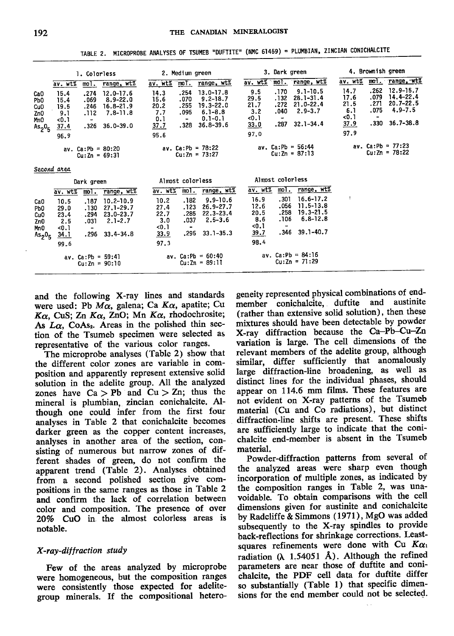TABLE 2. MICROPROBE ANALYSES OF TSUMEB "DUFTITE" (NMC 61459) = PLUMBIAN, ZINCIAN CONICHALCITE

|                                                                                  |                                                     | 1. Colorless                         |                                                                                 | 2. Medium green                                           |                                                        |                                                                                           | 3. Dark green                                      |                                            |                                                                                | 4. Brownish green                                    |                                                   |                                                                                 |
|----------------------------------------------------------------------------------|-----------------------------------------------------|--------------------------------------|---------------------------------------------------------------------------------|-----------------------------------------------------------|--------------------------------------------------------|-------------------------------------------------------------------------------------------|----------------------------------------------------|--------------------------------------------|--------------------------------------------------------------------------------|------------------------------------------------------|---------------------------------------------------|---------------------------------------------------------------------------------|
|                                                                                  | av. wt%                                             | mol.                                 | range, wt%                                                                      | av. wt%                                                   | moT.                                                   | range, wt%                                                                                | av. wt%                                            | mol.                                       | range, wt%                                                                     | av. wt%                                              |                                                   | mot. range, wt%                                                                 |
| CaO<br>Pb <sub>0</sub><br>Cu <sub>0</sub><br>Zn <sub>0</sub><br>MnO<br>$As_2O_F$ | 15.4<br>15.4<br>19.5<br>9.1<br>50.1<br>37.4<br>96.9 | .274<br>.069<br>.246<br>.112<br>.326 | $12.0 - 17.6$<br>$8.9 - 22.0$<br>$16.8 - 21.9$<br>$7.8 - 11.8$<br>$36.0 - 39.0$ | 14.3<br>15.6<br>20.2<br>7.7<br>0.1<br><u>37.7</u><br>95.6 | .254<br>.070<br>.255<br>.095<br>$\blacksquare$<br>.328 | $13.0 - 17.8$<br>$9.2 - 18.7$<br>19.3-22.0<br>$6.1 - 8.8$<br>$0.1 - 0.1$<br>$36.8 - 39.6$ | 9.5<br>29.5<br>21.7<br>3.2<br><0.1<br>33.0<br>97.0 | .170<br>. 132<br>.272<br>.040<br>-<br>.287 | $9.1 - 10.5$<br>$28.1 - 31.4$<br>$21.0 - 22.4$<br>$2.9 - 3.7$<br>$32.1 - 34.4$ | 14.7<br>17.6<br>21.5<br>6.1<br>$0.1$<br>37.9<br>97.9 | .262<br>.079<br>.271<br>.075<br>$\bullet$<br>.330 | $12.9 - 15.7$<br>$14.4 - 22.4$<br>$20.7 - 22.5$<br>$4.9 - 7.5$<br>$36.7 - 38.8$ |
|                                                                                  |                                                     |                                      | av. $Ca: Pb = 80: 20$<br>$Cu: Zn = 69:31$                                       |                                                           |                                                        | av. $Ca: Pb = 78:22$<br>$Cu: Zn = 73:27$                                                  |                                                    |                                            | av. $Ca: Pb = 56:44$<br>$Cu:Zn = 87:13$                                        |                                                      |                                                   | av. $Ca: Pb = 77: 23$<br>$Cu: Zn = 78:22$                                       |

 $\sim$ 

Second area

| Dark green                                                                                            |                                                            |                                           | Almost colorless                                                                |                                                      |                                                    | Almost coloriess                                                               |                                                              |                                      |                                                                          |  |
|-------------------------------------------------------------------------------------------------------|------------------------------------------------------------|-------------------------------------------|---------------------------------------------------------------------------------|------------------------------------------------------|----------------------------------------------------|--------------------------------------------------------------------------------|--------------------------------------------------------------|--------------------------------------|--------------------------------------------------------------------------|--|
|                                                                                                       | av. wt%                                                    | mol.                                      | range, wt%                                                                      | av. wt%                                              | mol.                                               | range, wt%                                                                     | av. wt%                                                      | mol.                                 | range, wt%                                                               |  |
| CaO<br>Pb <sub>0</sub><br>Cu <sub>0</sub><br>ZnO<br>Mn <sub>0</sub><br>As <sub>2</sub> 0 <sub>5</sub> | 10.5<br>29.0<br>23.4<br>2.5<br>50.1<br><u>34.1</u><br>99.6 | .187<br>.130<br>.294<br>.031<br>-<br>.296 | $10.2 - 10.9$<br>$27.1 - 29.7$<br>$23.0 - 23.7$<br>$2.1 - 2.7$<br>$33.4 - 34.8$ | 10.2<br>27.4<br>22.7<br>3.0<br>< 0.1<br>33.9<br>97.3 | .182<br>. 123<br>.285<br>.037<br>$\bullet$<br>.295 | $9.9 - 10.6$<br>$26.9 - 27.7$<br>$22.3 - 23.4$<br>$2.5 - 3.6$<br>$33.1 - 35.3$ | 16.9<br>12.6<br>20.5<br>8.6<br>$-0.1$<br><u>39.7</u><br>98.4 | .301<br>.056<br>.258<br>.106<br>.346 | 16.6-17.2<br>11.5-13.8<br>$19.3 - 21.5$<br>$6.8 - 12.8$<br>$39.1 - 40.7$ |  |
|                                                                                                       |                                                            | $av. Ca: Pb = 59:41$<br>$Cu:Zn = 90:10$   |                                                                                 |                                                      |                                                    | av. $Ca: Pb = 60:40$<br>$Cu: Zn = 89:11$                                       |                                                              |                                      | av. $Ca: Pb = 84: 16$<br>$Cu:Zn = 71:29$                                 |  |

and the following X-ray lines and standards were used: Pb  $M\alpha$ , galena; Ca  $K\alpha$ , apatite; Cu  $K\alpha$ , CuS; Zn  $K\alpha$ , ZnO; Mn  $K\alpha$ , rhodochrosite; As  $L\alpha$ , CoAs<sub>2</sub>. Areas in the polished thin section of the Tsumeb specimen were selected as representative of the various color ranges.

The microprobe analyses (Table 2) show that the different color zones are variable in composition and apparently represent extensive solid solution in the adelite group. All the analyzed zones have  $Ca > Pb$  and  $Cu > Zn$ ; thus the mineral is plumbian, zincian conichalcite. Although one could infer from the first four analyses in Table 2 that conichalcite becomes darker green as the copper content increases, analyses in another area of the section, consisting of numerous but narrow zones of different shades of green, do not confirm the apparent trend (Table 2). Analyses obtained from a second polished section give compositions in the same ranges as those in Table 2 and confirm the lack of correlation between color and composition. The presence of over 20% CuO in the almost colorless areas is notable.

# X-ray-diffraction study

Few of the areas analyzed by microprobe were homogeneous, but the composition ranges were consistently those expected for adelitegroup minerals. If the compositional hetero-

geneity represented physical combinations of endmember conichalcite, duftite and austinite (rather than extensive solid solution), then these mixtures should have been detectable by powder X-ray diffraction because the Ca-Pb-Cu-Zn variation is large. The cell dimensions of the relevant members of the adelite group, although similar, differ sufficiently that anomalously large diffraction-line broadening, as well as distinct lines for the individual phases, should appear on 114.6 mm films. These features are not evident on X-ray patterns of the Tsumeb material (Cu and Co radiations), but distinct diffraction-line shifts are present. These shifts are sufficiently large to indicate that the conichalcite end-member is absent in the Tsumeb material.

Powder-diffraction patterns from several of the analyzed areas were sharp even though incorporation of multiple zones, as indicated by the composition ranges in Table 2. was unavoidable. To obtain comparisons with the cell dimensions given for austinite and conichalcite by Radcliffe & Simmons (1971), MgO was added subsequently to the X-ray spindles to provide back-reflections for shrinkage corrections. Leastsquares refinements were done with Cu  $K\alpha_1$ radiation  $(\lambda 1.54051 \text{ Å})$ . Although the refined parameters are near those of duftite and conichalcite, the PDF cell data for duftite differ so substantially (Table 1) that specific dimensions for the end member could not be selected.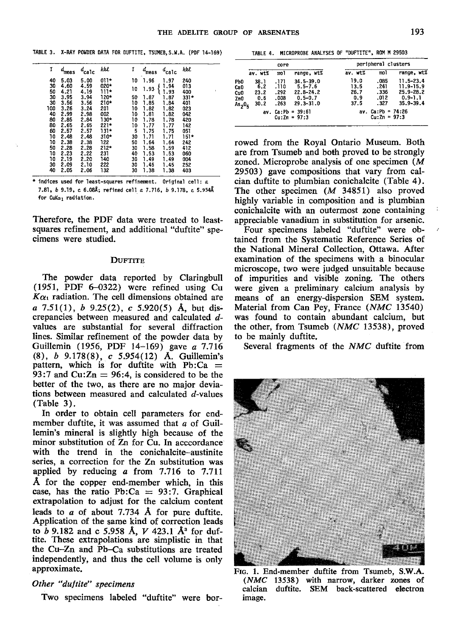|  |  |  |  |  |  | TABLE 3. X-RAY POWDER DATA FOR DUFTITE, TSUMEB, S.W.A. (PDF 14-169) |  |  |
|--|--|--|--|--|--|---------------------------------------------------------------------|--|--|
|--|--|--|--|--|--|---------------------------------------------------------------------|--|--|

| ĩ   | d<br>meas | calc | hkl    | I  | meas | calc | hkl    |  |
|-----|-----------|------|--------|----|------|------|--------|--|
| 40  | 5.03      | 5.00 | $011*$ | 10 | 1.96 | 1.97 | 240    |  |
| 30  | 4.60      | 4.59 | 020*   |    |      | 1.94 | 013    |  |
| 50  | 4.21      | 4.19 | $111*$ | 10 | 1.93 | 1.93 | 400    |  |
| 30  | 3.95      | 3.94 | 120*   | 50 | 1.87 | 1.87 | $331*$ |  |
| 30  | 3.56      | 3.56 | 210*   | 10 | 1.85 | 1.84 | 401    |  |
| 100 | 3.26      | 3.24 | 201    | 10 | 1.82 | 1.82 | 023    |  |
| 40  | 2.99      | 2.98 | 002    | 10 | 1.81 | 1.82 | 042    |  |
| 80  | 2.85      | 2.84 | 130*   | 10 | 1.78 | 1.78 | 420    |  |
| 80  | 2.65      | 2.65 | 221*   | 10 | 1.77 | 1.77 | 142    |  |
| 60  | 2.57      | 2.57 | 131*   | 5  | 1.75 | 1.75 | 051    |  |
| 10  | 2.48      | 2.48 | 310*   | 30 | 1.71 | 1.71 | $151*$ |  |
| 10  | 2.38      | 2.38 | 122    | 50 | 1.64 | 1.64 | 242    |  |
| 50  | 2.28      | 2.28 | $212*$ | 30 | 1.58 | 1.59 | 412    |  |
| 10  | 2.23      | 2.22 | 231    | 40 | 1.53 | 1.53 | 060    |  |
| 10  | 2.19      | 2.20 | 140    | 30 | 1.49 | 1.49 | 004    |  |
| 30  | 2.09      | 2.10 | 222    | 30 | 1.45 | 1.45 | 252    |  |
| 40  | 2.05      | 2.06 | 132    | 30 | 1.38 | 1.38 | 403    |  |

\* indices used for least-squares refinement. Original cell: a 7.81, b 9.19, c 6.08Å; refined cell a 7.716, b 9.178, c 5.954Å for CuKa<sub>1</sub> radiation.

Therefore, the PDF data were treated to leastsquares refinement, and additional "duftite" specimens were studied.

#### **DUFTITE**

The powder data reported by Claringbull (1951, PDF 6-0322) were refined using Cu  $K\alpha_1$  radiation. The cell dimensions obtained are a 7.51(1), b 9.25(2), c 5.920(5) Å, but discrepancies between measured and calculated dvalues are substantial for several diffraction lines. Similar refinement of the powder data by Guillemin (1956, PDF 14-169) gave a 7.716 (8),  $b$  9.178(8),  $c$  5.954(12) A. Guillemin's pattern, which is for duftite with  $Pb:Ca =$ 93:7 and Cu: $Zn = 96:4$ , is considered to be the better of the two, as there are no major deviations between measured and calculated d-values  $(Table 3).$ 

In order to obtain cell parameters for endmember duftite, it was assumed that a of Guillemin's mineral is slightly high because of the minor substitution of Zn for Cu. In acccordance with the trend in the conichalcite-austinite series, a correction for the Z<sub>n</sub> substitution was applied by reducing  $a$  from 7.716 to 7.711 A for the copper end-member which, in this case, has the ratio Pb:Ca =  $93:7$ . Graphical extrapolation to adjust for the calcium content leads to  $a$  of about 7.734 Å for pure duftite. Application of the same kind of correction leads to b 9.182 and c 5.958 Å,  $V$  423.1 Å<sup>3</sup> for duftite. These extrapolations are simplistic in that the Cu-Zn and Pb-Ca substitutions are treated independently, and thus the cell volume is only approximate.

# Other "duftite" specimens

Two specimens labeled "duftite" were bor-

TABLE 4. MICROPROBE ANALYSES OF "DUFTITE", ROM M 29503

|                                                           |                                    | core                                 |                                                                               | peripheral clusters                 |                                         |                                                                             |  |  |  |
|-----------------------------------------------------------|------------------------------------|--------------------------------------|-------------------------------------------------------------------------------|-------------------------------------|-----------------------------------------|-----------------------------------------------------------------------------|--|--|--|
|                                                           | av. wt%                            | mol                                  | range, wt%                                                                    | av. wt%                             | mo I                                    | range, wt%                                                                  |  |  |  |
| •ኮ0<br>à0<br>Cu.<br>ZnO<br>\s <sub>2</sub> 0 <sub>5</sub> | 38.1<br>6.2<br>23.2<br>0.6<br>30.2 | .171<br>110.<br>.292<br>.008<br>.263 | $34.5 - 39.0$<br>$5.5 - 7.6$<br>$22.8 - 24.2$<br>$0.5 - 0.7$<br>$29.3 - 31.0$ | 19.0<br>13.5<br>26.7<br>0.9<br>37.5 | .085<br>.241<br>.336<br>.012<br>.327    | $11.5 - 23.4$<br>11.9-15.9<br>$25.9 - 28.2$<br>$0.9 - 1.1$<br>$35.9 - 39.4$ |  |  |  |
|                                                           | av.                                |                                      | $Ca: Pb = 39:61$<br>$Cu:Zn = 97:3$                                            |                                     | av. $Ca: Pb = 74:26$<br>$Cu: Zn = 97:3$ |                                                                             |  |  |  |

rowed from the Royal Ontario Museum. Both are from Tsumeb and both proved to be strongly zoned. Microprobe analysis of one specimen  $(M)$ 29503) gave compositions that vary from calcian duftite to plumbian conichalcite (Table 4). The other specimen  $(M$  34851) also proved highly variable in composition and is plumbian conichalcite with an outermost zone containing appreciable vanadium in substitution for arsenic.

Four specimens labeled "duftite" were obtained from the Systematic Reference Series of the National Mineral Collection, Ottawa. After examination of the specimens with a binocular microscope, two were judged unsuitable because of impurities and visible zoning. The others were given a preliminary calcium analysis by means of an energy-dispersion SEM system. Material from Can Pey, France (NMC 13540) was found to contain abundant calcium, but the other, from Tsumeb (NMC 13538), proved to be mainly duftite.

Several fragments of the NMC duftite from



FIG. 1. End-member duftite from Tsumeb, S.W.A. (NMC 13538) with narrow, darker zones of duftite. SEM back-scattered electron calcian image.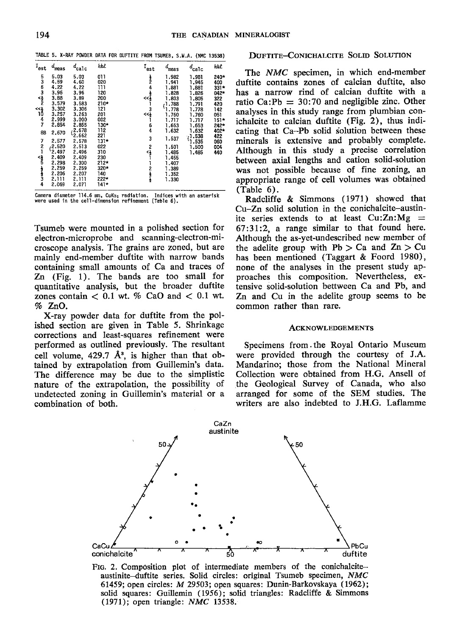|  |  |  |  |  |  | TABLE 5. X-RAY POWDER DATA FOR DUFTITE FROM TSUMEB, S.W.A. (NMC 13538) |  |  |  |  |  |  |
|--|--|--|--|--|--|------------------------------------------------------------------------|--|--|--|--|--|--|
|--|--|--|--|--|--|------------------------------------------------------------------------|--|--|--|--|--|--|

| $t_{\rm est}$                                    | meas                                                                           | $d_{\rm calc}$                                                                          | hkl                                                                         | $^{\mathcal{I}}$ est      | $d_{\text{meas}}$                                                    | $d_{\rm calc}$                                     | hkl                                         |
|--------------------------------------------------|--------------------------------------------------------------------------------|-----------------------------------------------------------------------------------------|-----------------------------------------------------------------------------|---------------------------|----------------------------------------------------------------------|----------------------------------------------------|---------------------------------------------|
| പ്പ്പന്                                          | 5.03<br>4.59<br>4.22<br>3.96<br>3.88                                           | 5.03<br>4.60<br>4.22<br>3.96<br>3.89                                                    | 011<br>020<br>111<br>120<br>200                                             | $\frac{1}{2}$<br>4<br>∯>> | 1.982<br>1.941<br>1.881<br>1.828<br>1.803                            | 1.981<br>1.945<br>1.881<br>1.826<br>1.805          | 240*<br>400<br>$331*$<br>042*<br>322        |
| $\tilde{\vec{a}}$<br>4<br>7<br>88                | 3.579<br>3.302<br>3.257<br>2.999<br>2.854<br>2,670                             | 3.583<br>3.306<br>3.263<br>3.000<br>2.855<br>2.678                                      | $210*$<br>121<br>201<br>002<br>130*<br>112                                  | 3<br>≺<နှံ<br>6<br>4      | $-1.788$<br>1.778<br>1.760<br>1.717<br>1.653<br>1.632                | 1.791<br>1.778<br>1.760<br>1.717<br>1.653<br>1.632 | 420<br>142<br>051<br>$151*$<br>242*<br>402* |
| 7<br>2<br>1<br>$\frac{4}{3}$<br><b>A</b> created | 2.577<br>2.520<br>'2.497<br>2.409<br>2.298<br>2.259<br>2.206<br>2.111<br>2,069 | 12.662<br>2.578<br>2.513<br>2.496<br>2.409<br>2.300<br>2.259<br>2.207<br>2.111<br>2.071 | 221<br>131*<br>022<br>310<br>230<br>$212*$<br>$320*$<br>140<br>222*<br>141* | 3<br>2<br><}<br>2キュー      | 1.537<br>1.501<br>1.485<br>1.455<br>1.407<br>1.389<br>1.352<br>1.330 | 1.538<br>1.535<br>1.500<br>1.485                   | 422<br>060<br>004<br>440                    |

Camera diameter 114.6 mm, CuKa1 radiation. Indices with an asterisk were used in the cell-dimension refinement (Table 6).

Tsumeb were mounted in a polished section for electron-microprobe and scanning-electron-microscope analysis. The grains are zoned, but are mainly end-member duftite with narrow bands containing small amounts of Ca and traces of  $Zn$  (Fig. 1). The bands are too small for quantitative analysis, but the broader duftite zones contain  $< 0.1$  wt. % CaO and  $< 0.1$  wt.  $%ZnO.$ 

X-ray powder data for duftite from the polished section are given in Table 5. Shrinkage corrections and least-squares refinement were performed as outlined previously. The resultant cell volume,  $429.7 \text{ Å}^3$ , is higher than that obtained by extrapolation from Guillemin's data. The difference may be due to the simplistic nature of the extrapolation, the possibility of undetected zoning in Guillemin's material or a combination of both.

# **DUFTITE-CONICHALCITE SOLID SOLUTION**

The NMC specimen, in which end-member duftite contains zones of calcian duftite, also has a narrow rind of calcian duftite with a ratio Ca: Pb =  $30:70$  and negligible zinc. Other analyses in this study range from plumbian conichalcite to calcian duftite (Fig. 2), thus indicating that Ca-Pb solid solution between these minerals is extensive and probably complete. Although in this study a precise correlation between axial lengths and cation solid-solution was not possible because of fine zoning, an appropriate range of cell volumes was obtained  $(Table 6).$ 

Radcliffe & Simmons (1971) showed that Cu-Zn solid solution in the conichalcite-austinite series extends to at least  $Cu:Zn:Mg =$  $67:31:2$ , a range similar to that found here. Although the as-yet-undescribed new member of the adelite group with  $Pb > Ca$  and  $Zn > Cu$ has been mentioned (Taggart & Foord 1980), none of the analyses in the present study approaches this composition. Nevertheless, extensive solid-solution bettween Ca and Pb, and Zn and Cu in the adelite group seems to be common rather than rare.

## **ACKNOWLEDGEMENTS**

Specimens from the Royal Ontario Museum were provided through the courtesy of J.A. Mandarino; those from the National Mineral Collection were obtained from H.G. Ansell of the Geological Survey of Canada, who also arranged for some of the SEM studies. The writers are also indebted to J.H.G. Laflamme



FIG. 2. Composition plot of intermediate members of the conichalciteaustinite-duftite series. Solid circles: original Tsumeb specimen, NMC 61459; open circles: M 29503; open squares: Dunin-Barkovskaya (1962); solid squares: Guillemin (1956); solid triangles: Radcliffe & Simmons (1971); open triangle: NMC 13538.